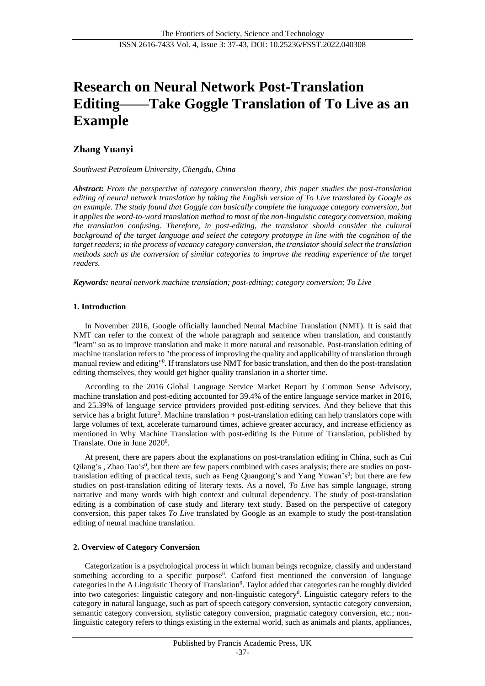# **Research on Neural Network Post-Translation Editing——Take Goggle Translation of To Live as an Example**

# **Zhang Yuanyi**

*Southwest Petroleum University, Chengdu, China*

*Abstract: From the perspective of category conversion theory, this paper studies the post-translation editing of neural network translation by taking the English version of To Live translated by Google as an example. The study found that Goggle can basically complete the language category conversion, but it applies the word-to-word translation method to most of the non-linguistic category conversion, making the translation confusing. Therefore, in post-editing, the translator should consider the cultural background of the target language and select the category prototype in line with the cognition of the target readers; in the process of vacancy category conversion, the translator should select the translation methods such as the conversion of similar categories to improve the reading experience of the target readers.*

*Keywords: neural network machine translation; post-editing; category conversion; To Live*

# **1. Introduction**

In November 2016, Google officially launched Neural Machine Translation (NMT). It is said that NMT can refer to the context of the whole paragraph and sentence when translation, and constantly "learn" so as to improve translation and make it more natural and reasonable. Post-translation editing of machine translation refers to "the process of improving the quality and applicability of translation through manual review and editing"<sup>[0](#page-6-0)</sup>. If translators use NMT for basic translation, and then do the post-translation editing themselves, they would get higher quality translation in a shorter time.

According to the 2016 Global Language Service Market Report by Common Sense Advisory, machine translation and post-editing accounted for 39.4% of the entire language service market in 2016, and 25.39% of language service providers provided post-editing services. And they believe that this s[e](#page-6-1)rvice has a bright future<sup>0</sup>. Machine translation + post-translation editing can help translators cope with large volumes of text, accelerate turnaround times, achieve greater accuracy, and increase efficiency as mentioned in Why Machine Translation with post-editing Is the Future of Translation, published by Translate. One in June 2[0](#page-6-2)20<sup>0</sup>.

At present, there are papers about the explanations on post-translation editing in China, such as Cui Qilang's[,](#page-6-3) Zhao Tao's<sup>0</sup>, but there are few papers combined with cases analysis; there are studies on posttran[s](#page-6-4)lation editing of practical texts, such as Feng Quangong's and Yang Yuwan's<sup>0</sup>; but there are few studies on post-translation editing of literary texts. As a novel, *To Live* has simple language, strong narrative and many words with high context and cultural dependency. The study of post-translation editing is a combination of case study and literary text study. Based on the perspective of category conversion, this paper takes *To Live* translated by Google as an example to study the post-translation editing of neural machine translation.

## **2. Overview of Category Conversion**

Categorization is a psychological process in which human beings recognize, classify and understand som[e](#page-6-5)thing according to a specific purpose<sup>0</sup>. Catford first mentioned the conversion of language categories in the A Linguistic Theory of Translation<sup>0</sup>[.](#page-6-6) Taylor added that categories can be roughly divided into two categories: linguistic categor[y](#page-6-7) and non-linguistic category<sup>0</sup>. Linguistic category refers to the category in natural language, such as part of speech category conversion, syntactic category conversion, semantic category conversion, stylistic category conversion, pragmatic category conversion, etc.; nonlinguistic category refers to things existing in the external world, such as animals and plants, appliances,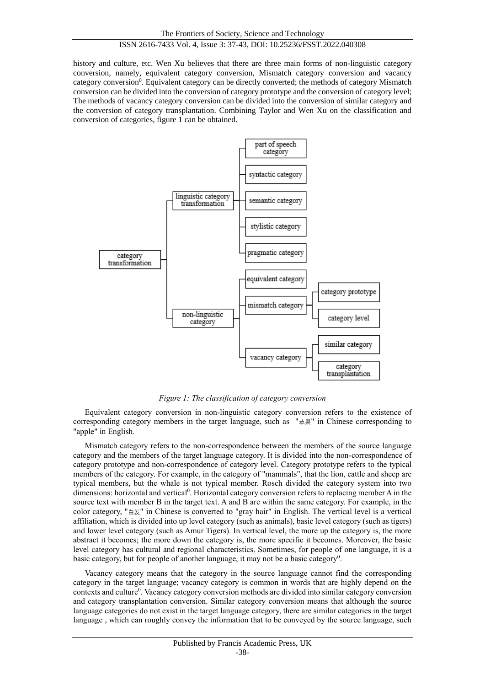# ISSN 2616-7433 Vol. 4, Issue 3: 37-43, DOI: 10.25236/FSST.2022.040308

history and culture, etc. Wen Xu believes that there are three main forms of non-linguistic category conversion, namely, equivalent category conversion, Mismatch category conversion and vacancy category co[n](#page-6-8)version<sup>0</sup>. Equivalent category can be directly converted; the methods of category Mismatch conversion can be divided into the conversion of category prototype and the conversion of category level; The methods of vacancy category conversion can be divided into the conversion of similar category and the conversion of category transplantation. Combining Taylor and Wen Xu on the classification and conversion of categories, figure 1 can be obtained.



*Figure 1: The classification of category conversion* 

Equivalent category conversion in non-linguistic category conversion refers to the existence of corresponding category members in the target language, such as "苹果" in Chinese corresponding to "apple" in English.

Mismatch category refers to the non-correspondence between the members of the source language category and the members of the target language category. It is divided into the non-correspondence of category prototype and non-correspondence of category level. Category prototype refers to the typical members of the category. For example, in the category of "mammals", that the lion, cattle and sheep are typical members, but the whale is not typical member. Rosch divided the category system into two dimensions: horizontal and vertical<sup>[0](#page-6-9)</sup>. Horizontal category conversion refers to replacing member A in the source text with member B in the target text. A and B are within the same category. For example, in the color category, "白发" in Chinese is converted to "gray hair" in English. The vertical level is a vertical affiliation, which is divided into up level category (such as animals), basic level category (such as tigers) and lower level category (such as Amur Tigers). In vertical level, the more up the category is, the more abstract it becomes; the more down the category is, the more specific it becomes. Moreover, the basic level category has cultural and regional characteristics. Sometimes, for people of one language, it is a basic category, but for people of another language, it may not be a basic category<sup>0</sup>[.](#page-6-10)

Vacancy category means that the category in the source language cannot find the corresponding category in the target language; vacancy category is common in words that are highly depend on the cont[e](#page-6-11)xts and culture<sup>0</sup>. Vacancy category conversion methods are divided into similar category conversion and category transplantation conversion. Similar category conversion means that although the source language categories do not exist in the target language category, there are similar categories in the target language , which can roughly convey the information that to be conveyed by the source language, such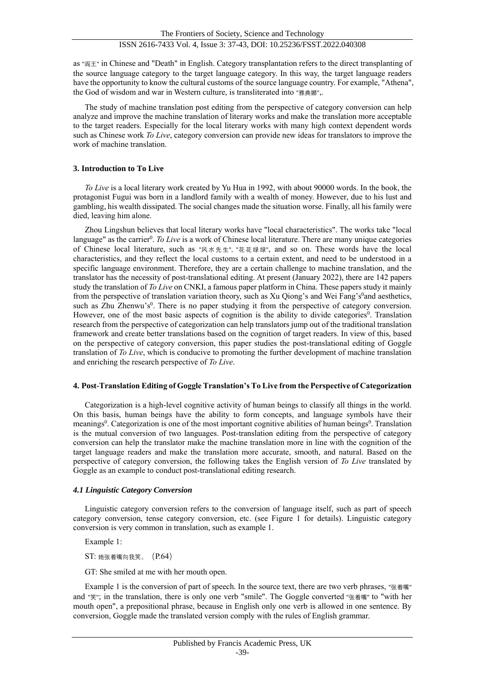as "阎王" in Chinese and "Death" in English. Category transplantation refers to the direct transplanting of the source language category to the target language category. In this way, the target language readers have the opportunity to know the cultural customs of the source language country. For example, "Athena", the God of wisdom and war in Western culture, is transliterated into "雅典娜",.

The study of machine translation post editing from the perspective of category conversion can help analyze and improve the machine translation of literary works and make the translation more acceptable to the target readers. Especially for the local literary works with many high context dependent words such as Chinese work *To Live*, category conversion can provide new ideas for translators to improve the work of machine translation.

# **3. Introduction to To Live**

*To Live* is a local literary work created by Yu Hua in 1992, with about 90000 words. In the book, the protagonist Fugui was born in a landlord family with a wealth of money. However, due to his lust and gambling, his wealth dissipated. The social changes made the situation worse. Finally, all his family were died, leaving him alone.

Zhou Lingshun believes that local literary works have "local characteristics". The works take "local language" as the carrier<sup>[0](#page-6-12)</sup>. To Live is a work of Chinese local literature. There are many unique categories of Chinese local literature, such as "风水先生", "花花绿绿", and so on. These words have the local characteristics, and they reflect the local customs to a certain extent, and need to be understood in a specific language environment. Therefore, they are a certain challenge to machine translation, and the translator has the necessity of post-translational editing. At present (January 2022), there are 142 papers study the translation of *To Live* on CNKI, a famous paper platform in China. These papers study it mainly from the per[s](#page-6-13)pective of translation variation theory, such as Xu Qiong's and Wei Fang's<sup>0</sup>and aesthetics, [s](#page-6-14)uch as Zhu Zhenwu's<sup>0</sup>. There is no paper studying it from the perspective of category conversion. However, one of the most basic aspects of cognition is the ability to divide categories<sup>[0](#page-6-15)</sup>. Translation research from the perspective of categorization can help translators jump out of the traditional translation framework and create better translations based on the cognition of target readers. In view of this, based on the perspective of category conversion, this paper studies the post-translational editing of Goggle translation of *To Live*, which is conducive to promoting the further development of machine translation and enriching the research perspective of *To Live*.

## **4. Post-Translation Editing of Goggle Translation's To Live from the Perspective of Categorization**

Categorization is a high-level cognitive activity of human beings to classify all things in the world. On this basis, human beings have the ability to form concepts, and language symbols have their meanings<sup>0</sup>[.](#page-6-17) Categorization is one of the most important cognitive abilities of human beings<sup>0</sup>. Translation is the mutual conversion of two languages. Post-translation editing from the perspective of category conversion can help the translator make the machine translation more in line with the cognition of the target language readers and make the translation more accurate, smooth, and natural. Based on the perspective of category conversion, the following takes the English version of *To Live* translated by Goggle as an example to conduct post-translational editing research.

## *4.1 Linguistic Category Conversion*

Linguistic category conversion refers to the conversion of language itself, such as part of speech category conversion, tense category conversion, etc. (see Figure 1 for details). Linguistic category conversion is very common in translation, such as example 1.

Example 1:

ST: 她张着嘴向我笑。(P.64)

GT: She smiled at me with her mouth open.

Example 1 is the conversion of part of speech. In the source text, there are two verb phrases, "张着嘴" and "笑"; in the translation, there is only one verb "smile". The Goggle converted "张着嘴" to "with her mouth open", a prepositional phrase, because in English only one verb is allowed in one sentence. By conversion, Goggle made the translated version comply with the rules of English grammar.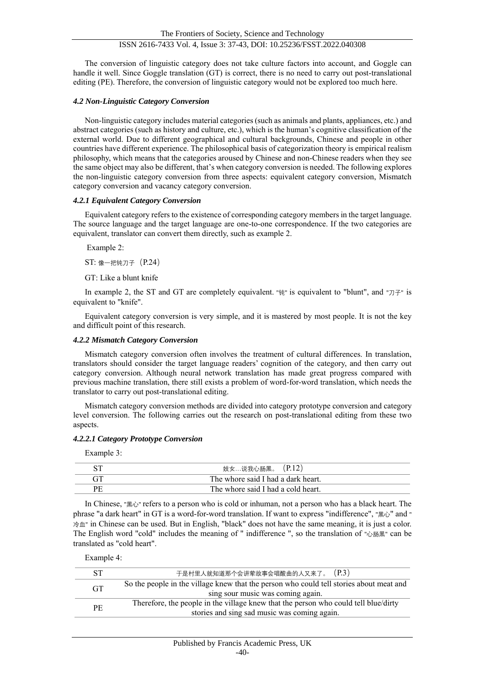The conversion of linguistic category does not take culture factors into account, and Goggle can handle it well. Since Goggle translation (GT) is correct, there is no need to carry out post-translational editing (PE). Therefore, the conversion of linguistic category would not be explored too much here.

# *4.2 Non-Linguistic Category Conversion*

Non-linguistic category includes material categories (such as animals and plants, appliances, etc.) and abstract categories (such as history and culture, etc.), which is the human's cognitive classification of the external world. Due to different geographical and cultural backgrounds, Chinese and people in other countries have different experience. The philosophical basis of categorization theory is empirical realism philosophy, which means that the categories aroused by Chinese and non-Chinese readers when they see the same object may also be different, that's when category conversion is needed. The following explores the non-linguistic category conversion from three aspects: equivalent category conversion, Mismatch category conversion and vacancy category conversion.

## *4.2.1 Equivalent Category Conversion*

Equivalent category refers to the existence of corresponding category members in the target language. The source language and the target language are one-to-one correspondence. If the two categories are equivalent, translator can convert them directly, such as example 2.

Example 2:

ST: 像一把钝刀子 (P.24)

GT: Like a blunt knife

In example 2, the ST and GT are completely equivalent. "钝" is equivalent to "blunt", and " $\overline{\mathcal{D}}\div$ " is equivalent to "knife".

Equivalent category conversion is very simple, and it is mastered by most people. It is not the key and difficult point of this research.

# *4.2.2 Mismatch Category Conversion*

Mismatch category conversion often involves the treatment of cultural differences. In translation, translators should consider the target language readers' cognition of the category, and then carry out category conversion. Although neural network translation has made great progress compared with previous machine translation, there still exists a problem of word-for-word translation, which needs the translator to carry out post-translational editing.

Mismatch category conversion methods are divided into category prototype conversion and category level conversion. The following carries out the research on post-translational editing from these two aspects.

## *4.2.2.1 Category Prototype Conversion*

Example 3:

| 妓女…说我心肠黑。 (P.12)                   |
|------------------------------------|
| The whore said I had a dark heart. |
| The whore said I had a cold heart. |

In Chinese, "黑心" refers to a person who is cold or inhuman, not a person who has a black heart. The phrase "a dark heart" in GT is a word-for-word translation. If want to express "indifference", "黑心" and " 冷血" in Chinese can be used. But in English, "black" does not have the same meaning, it is just a color. The English word "cold" includes the meaning of " indifference ", so the translation of "心肠黑" can be translated as "cold heart".

Example 4:

|           | (P.3)<br>于是村里人就知道那个会讲荤故事会唱酸曲的人又来了。                                                      |
|-----------|-----------------------------------------------------------------------------------------|
| <b>GT</b> | So the people in the village knew that the person who could tell stories about meat and |
|           | sing sour music was coming again.                                                       |
| PF.       | Therefore, the people in the village knew that the person who could tell blue/dirty     |
|           | stories and sing sad music was coming again.                                            |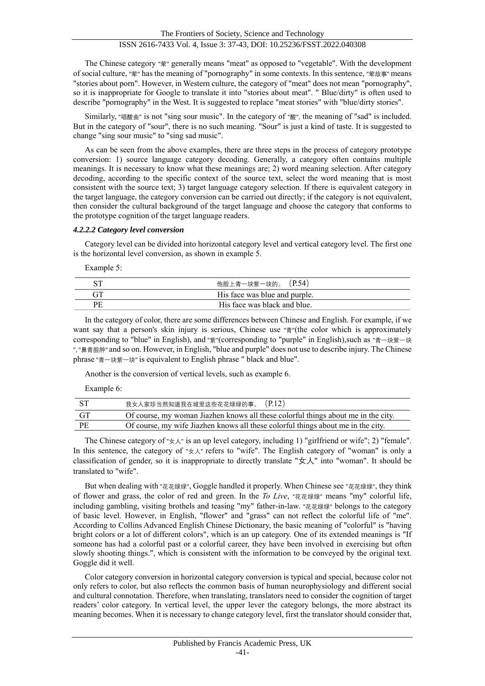The Chinese category "荤" generally means "meat" as opposed to "vegetable". With the development of social culture, "荤" has the meaning of "pornography" in some contexts. In this sentence, "荤故事" means "stories about porn". However, in Western culture, the category of "meat" does not mean "pornography", so it is inappropriate for Google to translate it into "stories about meat". " Blue/dirty" is often used to describe "pornography" in the West. It is suggested to replace "meat stories" with "blue/dirty stories".

Similarly, "唱酸曲" is not "sing sour music". In the category of "酸", the meaning of "sad" is included. But in the category of "sour", there is no such meaning. "Sour" is just a kind of taste. It is suggested to change "sing sour music" to "sing sad music".

As can be seen from the above examples, there are three steps in the process of category prototype conversion: 1) source language category decoding. Generally, a category often contains multiple meanings. It is necessary to know what these meanings are; 2) word meaning selection. After category decoding, according to the specific context of the source text, select the word meaning that is most consistent with the source text; 3) target language category selection. If there is equivalent category in the target language, the category conversion can be carried out directly; if the category is not equivalent, then consider the cultural background of the target language and choose the category that conforms to the prototype cognition of the target language readers.

## *4.2.2.2 Category level conversion*

Category level can be divided into horizontal category level and vertical category level. The first one is the horizontal level conversion, as shown in example 5.

Example 5:

| 他脸上青一块紫一块的。 (P.54)            |
|-------------------------------|
| His face was blue and purple. |
| His face was black and blue.  |

In the category of color, there are some differences between Chinese and English. For example, if we want say that a person's skin injury is serious, Chinese use "青"(the color which is approximately corresponding to "blue" in English), and "紫"(corresponding to "purple" in English),such as "青一块紫一块 ", "鼻青脸肿" and so on. However, in English, "blue and purple" does not use to describe injury. The Chinese phrase "青一块紫一块" is equivalent to English phrase " black and blue".

Another is the conversion of vertical levels, such as example 6.

Example 6:

| – ST | 我女人家珍当然知道我在城里这些花花绿绿的事。 (P.12)                                                     |
|------|-----------------------------------------------------------------------------------|
| - GT | Of course, my woman Jiazhen knows all these colorful things about me in the city. |
| - PE | Of course, my wife Jiazhen knows all these colorful things about me in the city.  |

The Chinese category of "女人" is an up level category, including 1) "girlfriend or wife"; 2) "female". In this sentence, the category of " $\forall x$ " refers to "wife". The English category of "woman" is only a classification of gender, so it is inappropriate to directly translate " $\forall x \wedge$ " into "woman". It should be translated to "wife".

But when dealing with "花花绿绿", Goggle handled it properly. When Chinese see "花花绿绿", they think of flower and grass, the color of red and green. In the *To Live*, "花花绿绿" means "my" colorful life, including gambling, visiting brothels and teasing "my" father-in-law. "花花绿绿" belongs to the category of basic level. However, in English, "flower" and "grass" can not reflect the colorful life of "me". According to Collins Advanced English Chinese Dictionary, the basic meaning of "colorful" is "having bright colors or a lot of different colors", which is an up category. One of its extended meanings is "If someone has had a colorful past or a colorful career, they have been involved in exercising but often slowly shooting things.", which is consistent with the information to be conveyed by the original text. Goggle did it well.

Color category conversion in horizontal category conversion is typical and special, because color not only refers to color, but also reflects the common basis of human neurophysiology and different social and cultural connotation. Therefore, when translating, translators need to consider the cognition of target readers' color category. In vertical level, the upper lever the category belongs, the more abstract its meaning becomes. When it is necessary to change category level, first the translator should consider that,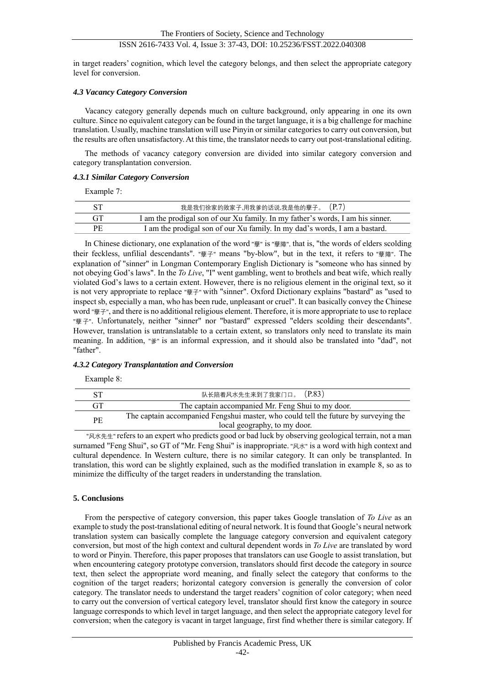# ISSN 2616-7433 Vol. 4, Issue 3: 37-43, DOI: 10.25236/FSST.2022.040308

in target readers' cognition, which level the category belongs, and then select the appropriate category level for conversion.

#### *4.3 Vacancy Category Conversion*

Vacancy category generally depends much on culture background, only appearing in one its own culture. Since no equivalent category can be found in the target language, it is a big challenge for machine translation. Usually, machine translation will use Pinyin or similar categories to carry out conversion, but the results are often unsatisfactory. At this time, the translator needs to carry out post-translational editing.

The methods of vacancy category conversion are divided into similar category conversion and category transplantation conversion.

#### *4.3.1 Similar Category Conversion*

Example 7:

|           | 我是我们徐家的败家子,用我爹的话说,我是他的孽子。 (P.7)                                                |
|-----------|--------------------------------------------------------------------------------|
| <b>GT</b> | I am the prodigal son of our Xu family. In my father's words, I am his sinner. |
| PE        | I am the prodigal son of our Xu family. In my dad's words, I am a bastard.     |

In Chinese dictionary, one explanation of the word "孽" is "孽障", that is, "the words of elders scolding their feckless, unfilial descendants". "孽子" means "by-blow", but in the text, it refers to "孽障". The explanation of "sinner" in Longman Contemporary English Dictionary is "someone who has sinned by not obeying God's laws". In the *To Live*, "I" went gambling, went to brothels and beat wife, which really violated God's laws to a certain extent. However, there is no religious element in the original text, so it is not very appropriate to replace "孽子" with "sinner". Oxford Dictionary explains "bastard" as "used to inspect sb, especially a man, who has been rude, unpleasant or cruel". It can basically convey the Chinese word "孽子", and there is no additional religious element. Therefore, it is more appropriate to use to replace "孽子". Unfortunately, neither "sinner" nor "bastard" expressed "elders scolding their descendants". However, translation is untranslatable to a certain extent, so translators only need to translate its main meaning. In addition, "爹" is an informal expression, and it should also be translated into "dad", not "father".

## *4.3.2 Category Transplantation and Conversion*

Example 8:

|     | 队长陪着风水先生来到了我家门口。 (P.83)                                                                                             |
|-----|---------------------------------------------------------------------------------------------------------------------|
| GT  | The captain accompanied Mr. Feng Shui to my door.                                                                   |
| PF. | The captain accompanied Fengshui master, who could tell the future by surveying the<br>local geography, to my door. |

"风水先生" refers to an expert who predicts good or bad luck by observing geological terrain, not a man surnamed "Feng Shui", so GT of "Mr. Feng Shui" is inappropriate. "风水" is a word with high context and cultural dependence. In Western culture, there is no similar category. It can only be transplanted. In translation, this word can be slightly explained, such as the modified translation in example 8, so as to minimize the difficulty of the target readers in understanding the translation.

## **5. Conclusions**

From the perspective of category conversion, this paper takes Google translation of *To Live* as an example to study the post-translational editing of neural network. It is found that Google's neural network translation system can basically complete the language category conversion and equivalent category conversion, but most of the high context and cultural dependent words in *To Live* are translated by word to word or Pinyin. Therefore, this paper proposes that translators can use Google to assist translation, but when encountering category prototype conversion, translators should first decode the category in source text, then select the appropriate word meaning, and finally select the category that conforms to the cognition of the target readers; horizontal category conversion is generally the conversion of color category. The translator needs to understand the target readers' cognition of color category; when need to carry out the conversion of vertical category level, translator should first know the category in source language corresponds to which level in target language, and then select the appropriate category level for conversion; when the category is vacant in target language, first find whether there is similar category. If